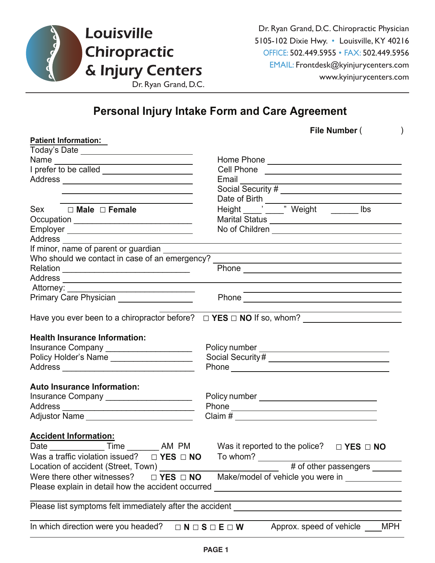

Dr. Ryan Grand, D.C. Chiropractic Physician 5105-102 Dixie Hwy. • Louisville, KY 40216 OFFICE: 502.449.5955 • FAX: 502.449.5956 EMAIL: Frontdesk@kyinjurycenters.com

## **Personal Injury Intake Form and Care Agreement**

|                                                | File Number (                                                                                                                                                                                                                  |
|------------------------------------------------|--------------------------------------------------------------------------------------------------------------------------------------------------------------------------------------------------------------------------------|
| <b>Patient Information:</b>                    |                                                                                                                                                                                                                                |
| Today's Date _________________________________ |                                                                                                                                                                                                                                |
|                                                |                                                                                                                                                                                                                                |
|                                                | Cell Phone _________________________________                                                                                                                                                                                   |
|                                                |                                                                                                                                                                                                                                |
|                                                |                                                                                                                                                                                                                                |
|                                                |                                                                                                                                                                                                                                |
| Sex □ Male □ Female                            |                                                                                                                                                                                                                                |
|                                                | Marital Status ___________________________________                                                                                                                                                                             |
|                                                |                                                                                                                                                                                                                                |
|                                                |                                                                                                                                                                                                                                |
| If minor, name of parent or guardian           |                                                                                                                                                                                                                                |
|                                                | Who should we contact in case of an emergency? _________________________________                                                                                                                                               |
|                                                |                                                                                                                                                                                                                                |
|                                                |                                                                                                                                                                                                                                |
| Attorney: _________                            |                                                                                                                                                                                                                                |
|                                                | Phone experience and the state of the state of the state of the state of the state of the state of the state of the state of the state of the state of the state of the state of the state of the state of the state of the st |
|                                                | Have you ever been to a chiropractor before? $\Box$ YES $\Box$ NO If so, whom?                                                                                                                                                 |
| <b>Health Insurance Information:</b>           |                                                                                                                                                                                                                                |
| Insurance Company ______________________       |                                                                                                                                                                                                                                |
| Policy Holder's Name                           |                                                                                                                                                                                                                                |
|                                                |                                                                                                                                                                                                                                |
| <b>Auto Insurance Information:</b>             |                                                                                                                                                                                                                                |
| Insurance Company ______________________       |                                                                                                                                                                                                                                |
|                                                |                                                                                                                                                                                                                                |
| Adjustor Name ____________________________     |                                                                                                                                                                                                                                |
| <b>Accident Information:</b>                   |                                                                                                                                                                                                                                |

| <b>Date Date</b>                                                                                        | Time                                | AM PM                         |          | Was it reported to the police? | $\Box$ YES $\Box$ NO       |            |  |  |
|---------------------------------------------------------------------------------------------------------|-------------------------------------|-------------------------------|----------|--------------------------------|----------------------------|------------|--|--|
|                                                                                                         | Was a traffic violation issued?     | $\Box$ YES $\Box$ NO          | To whom? |                                |                            |            |  |  |
|                                                                                                         | Location of accident (Street, Town) |                               |          |                                | # of other passengers ____ |            |  |  |
| Make/model of vehicle you were in ___<br>Were there other witnesses? $\Box$ <b>YES</b> $\Box$ <b>NO</b> |                                     |                               |          |                                |                            |            |  |  |
| Please explain in detail how the accident occurred                                                      |                                     |                               |          |                                |                            |            |  |  |
|                                                                                                         |                                     |                               |          |                                |                            |            |  |  |
| Please list symptoms felt immediately after the accident                                                |                                     |                               |          |                                |                            |            |  |  |
|                                                                                                         |                                     |                               |          |                                |                            |            |  |  |
|                                                                                                         | In which direction were you headed? | $\Box N \Box S \Box E \Box W$ |          | Approx. speed of vehicle       |                            | <b>MPH</b> |  |  |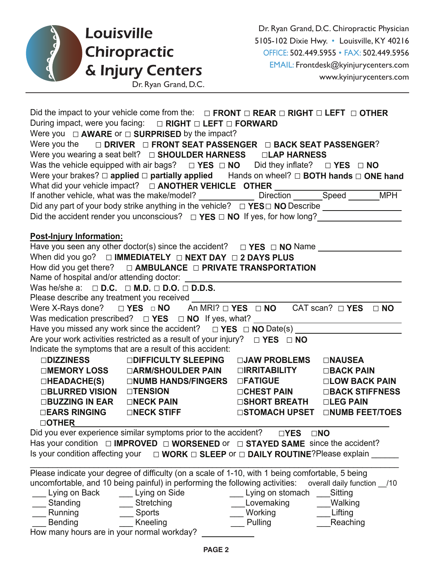

|                                                                 | Did the impact to your vehicle come from the: $\Box$ FRONT $\Box$ REAR $\Box$ RIGHT $\Box$ LEFT $\Box$ OTHER |                                |                |
|-----------------------------------------------------------------|--------------------------------------------------------------------------------------------------------------|--------------------------------|----------------|
|                                                                 | During impact, were you facing:  □ RIGHT □ LEFT □ FORWARD                                                    |                                |                |
|                                                                 | Were you $\Box$ <b>AWARE</b> or $\Box$ <b>SURPRISED</b> by the impact?                                       |                                |                |
|                                                                 | Were you the $\Box$ DRIVER $\Box$ FRONT SEAT PASSENGER $\Box$ BACK SEAT PASSENGER?                           |                                |                |
|                                                                 | Were you wearing a seat belt? $\Box$ SHOULDER HARNESS $\Box$ LAP HARNESS                                     |                                |                |
|                                                                 | Was the vehicle equipped with air bags? $\Box$ YES $\Box$ NO Did they inflate? $\Box$ YES $\Box$ NO          |                                |                |
|                                                                 | Were your brakes? $\Box$ applied $\Box$ partially applied Hands on wheel? $\Box$ BOTH hands $\Box$ ONE hand  |                                |                |
|                                                                 |                                                                                                              |                                |                |
|                                                                 |                                                                                                              |                                |                |
|                                                                 |                                                                                                              |                                |                |
|                                                                 | Did the accident render you unconscious? $\Box$ YES $\Box$ NO If yes, for how long?                          |                                |                |
|                                                                 |                                                                                                              |                                |                |
| <b>Post-Injury Information:</b>                                 |                                                                                                              |                                |                |
|                                                                 |                                                                                                              |                                |                |
|                                                                 | When did you go? $\Box$ IMMEDIATELY $\Box$ NEXT DAY $\Box$ 2 DAYS PLUS                                       |                                |                |
|                                                                 | How did you get there? $\Box$ AMBULANCE $\Box$ PRIVATE TRANSPORTATION                                        |                                |                |
|                                                                 |                                                                                                              |                                |                |
| Was he/she a: $\Box$ D.C. $\Box$ M.D. $\Box$ D.O. $\Box$ D.D.S. |                                                                                                              |                                |                |
|                                                                 | Please describe any treatment you received ______                                                            |                                |                |
|                                                                 | Were X-Rays done? $\Box$ YES $\Box$ NO An MRI? $\Box$ YES $\Box$ NO CAT scan? $\Box$ YES $\Box$ NO           |                                |                |
|                                                                 | Was medication prescribed? $\Box$ <b>YES</b> $\Box$ <b>NO</b> If yes, what?                                  |                                |                |
|                                                                 |                                                                                                              |                                |                |
|                                                                 | Are your work activities restricted as a result of your injury? $\Box$ YES $\Box$ NO                         |                                |                |
|                                                                 | Indicate the symptoms that are a result of this accident:                                                    |                                |                |
|                                                                 |                                                                                                              |                                |                |
|                                                                 | □DIZZINESS     □DIFFICULTY SLEEPING   □JAW PROBLEMS                                                          |                                | <b>ONAUSEA</b> |
|                                                                 | □MEMORY LOSS □ △RM/SHOULDER PAIN □ IRRITABILITY □ BACK PAIN                                                  |                                |                |
|                                                                 | □HEADACHE(S)   □NUMB HANDS/FINGERS □FATIGUE                                                                  |                                | □LOW BACK PAIN |
| □BLURRED VISION □TENSION                                        |                                                                                                              | □ CHEST PAIN □ BACK STIFFNESS  |                |
|                                                                 |                                                                                                              |                                |                |
|                                                                 | $\square$ EARS RINGING $\square$ NECK STIFF                                                                  | □STOMACH UPSET □NUMB FEET/TOES |                |
| <b>OTHER</b>                                                    |                                                                                                              |                                |                |
|                                                                 | Did you ever experience similar symptoms prior to the accident?                                              | $\Box$ YES                     | $\square$ NO   |
|                                                                 | Has your condition $\Box$ IMPROVED $\Box$ WORSENED or $\Box$ STAYED SAME since the accident?                 |                                |                |
|                                                                 | Is your condition affecting your $\Box$ WORK $\Box$ SLEEP or $\Box$ DAILY ROUTINE? Please explain            |                                |                |
|                                                                 |                                                                                                              |                                |                |
|                                                                 | Please indicate your degree of difficulty (on a scale of 1-10, with 1 being comfortable, 5 being             |                                |                |
|                                                                 | uncomfortable, and 10 being painful) in performing the following activities: overall daily function _/10     |                                |                |
| Lying on Back                                                   | Lying on Side                                                                                                | Lying on stomach ___Sitting    |                |
| Standing                                                        | Stretching                                                                                                   | Lovemaking                     | Walking        |
| <b>Running</b>                                                  | Sports                                                                                                       | Working                        | Lifting        |
| <b>Bending</b>                                                  | Kneeling                                                                                                     | Pulling                        | Reaching       |
| How many hours are in your normal workday?                      |                                                                                                              |                                |                |

**PAGE 2** *LWPM Form*